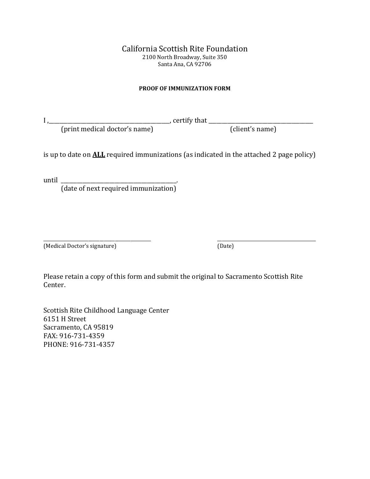## California Scottish Rite Foundation 2100 North Broadway, Suite 350 Santa Ana, CA 92706

## **PROOF OF IMMUNIZATION FORM**

I ,\_\_\_\_\_\_\_\_\_\_\_\_\_\_\_\_\_\_\_\_\_\_\_\_\_\_\_\_\_\_\_\_\_\_\_\_\_\_\_\_\_\_\_\_\_, certify that \_\_\_\_\_\_\_\_\_\_\_\_\_\_\_\_\_\_\_\_\_\_\_\_\_\_\_\_\_\_\_\_\_\_\_\_\_\_\_

(print medical doctor's name) (client's name)

is up to date on **ALL** required immunizations (as indicated in the attached 2 page policy)

until \_\_\_\_\_\_\_\_\_\_\_\_\_\_\_\_\_\_\_\_\_\_\_\_\_\_\_\_\_\_\_\_\_\_\_\_\_\_\_\_\_\_\_.

(date of next required immunization)

\_\_\_\_\_\_\_\_\_\_\_\_\_\_\_\_\_\_\_\_\_\_\_\_\_\_\_\_\_\_\_\_\_\_\_\_\_\_\_\_\_\_\_\_\_\_\_\_ \_\_\_\_\_\_\_\_\_\_\_\_\_\_\_\_\_\_\_\_\_\_\_\_\_\_\_\_\_\_\_\_\_\_\_\_\_\_\_\_\_\_\_\_ (Medical Doctor's signature) (Date)

Please retain a copy of this form and submit the original to Sacramento Scottish Rite Center.

Scottish Rite Childhood Language Center 6151 H Street Sacramento, CA 95819 FAX: 916-731-4359 PHONE: 916-731-4357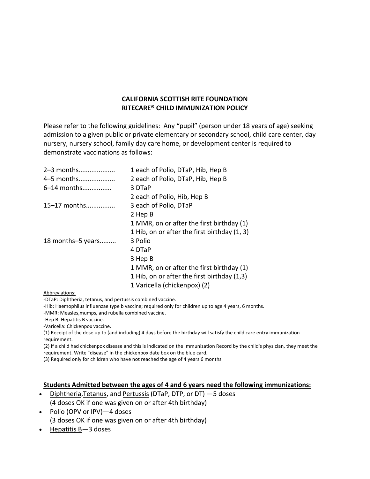## **CALIFORNIA SCOTTISH RITE FOUNDATION RITECARE® CHILD IMMUNIZATION POLICY**

Please refer to the following guidelines: Any "pupil" (person under 18 years of age) seeking admission to a given public or private elementary or secondary school, child care center, day nursery, nursery school, family day care home, or development center is required to demonstrate vaccinations as follows:

| 2-3 months        | 1 each of Polio, DTaP, Hib, Hep B            |
|-------------------|----------------------------------------------|
| 4-5 months        | 2 each of Polio, DTaP, Hib, Hep B            |
| 6–14 months       | 3 DTaP                                       |
|                   | 2 each of Polio, Hib, Hep B                  |
| 15–17 months      | 3 each of Polio, DTaP                        |
|                   | 2 Hep B                                      |
|                   | 1 MMR, on or after the first birthday (1)    |
|                   | 1 Hib, on or after the first birthday (1, 3) |
| 18 months-5 years | 3 Polio                                      |
|                   | 4 DTaP                                       |
|                   | 3 Hep B                                      |
|                   | 1 MMR, on or after the first birthday (1)    |
|                   | 1 Hib, on or after the first birthday (1,3)  |
|                   | 1 Varicella (chickenpox) (2)                 |

Abbreviations:

-DTaP: Diphtheria, tetanus, and pertussis combined vaccine.

-Hib: Haemophilus influenzae type b vaccine; required only for children up to age 4 years, 6 months.

-MMR: Measles,mumps, and rubella combined vaccine.

-Hep B: Hepatitis B vaccine.

-Varicella: Chickenpox vaccine.

(1) Receipt of the dose up to (and including) 4 days before the birthday will satisfy the child care entry immunization requirement.

(2) If a child had chickenpox disease and this is indicated on the Immunization Record by the child's physician, they meet the requirement. Write "disease" in the chickenpox date box on the blue card.

(3) Required only for children who have not reached the age of 4 years 6 months

#### **Students Admitted between the ages of 4 and 6 years need the following immunizations:**

- [Diphtheria](http://www.cdc.gov/vaccines/vpd-vac/diphtheria/default.htm)[,Tetanus,](http://www.cdc.gov/vaccines/vpd-vac/tetanus/default.htm) and [Pertussis](http://www.cdc.gov/vaccines/vpd-vac/pertussis/default.htm) (DTaP, DTP, or DT) —5 doses (4 doses OK if one was given on or after 4th birthday)
- [Polio](http://www.cdc.gov/vaccines/vpd-vac/polio/default.htm) (OPV or IPV) 4 doses (3 doses OK if one was given on or after 4th birthday)
- [Hepatitis B](http://www.cdc.gov/vaccines/vpd-vac/hepb/default.htm)—3 doses